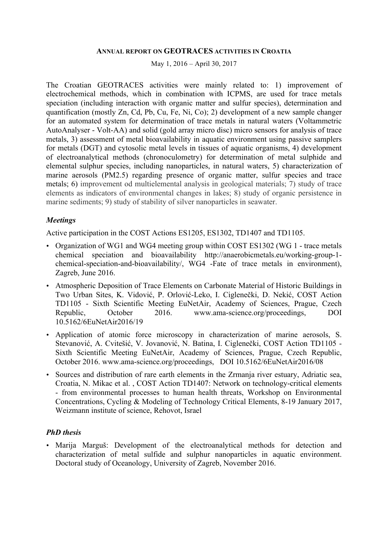#### **ANNUAL REPORT ON GEOTRACES ACTIVITIES IN CROATIA**

May 1, 2016 – April 30, 2017

The Croatian GEOTRACES activities were mainly related to: 1) improvement of electrochemical methods, which in combination with ICPMS, are used for trace metals speciation (including interaction with organic matter and sulfur species), determination and quantification (mostly Zn, Cd, Pb, Cu, Fe, Ni, Co); 2) development of a new sample changer for an automated system for determination of trace metals in natural waters (Voltammetric AutoAnalyser - Volt-AA) and solid (gold array micro disc) micro sensors for analysis of trace metals, 3) assessment of metal bioavailability in aquatic environment using passive samplers for metals (DGT) and cytosolic metal levels in tissues of aquatic organisms, 4) development of electroanalytical methods (chronoculometry) for determination of metal sulphide and elemental sulphur species, including nanoparticles, in natural waters, 5) characterization of marine aerosols (PM2.5) regarding presence of organic matter, sulfur species and trace metals; 6) improvement od multielemental analysis in geological materials; 7) study of trace elements as indicators of environmental changes in lakes; 8) study of organic persistence in marine sediments; 9) study of stability of silver nanoparticles in seawater.

### *Meetings*

Active participation in the COST Actions ES1205, ES1302, TD1407 and TD1105.

- Organization of WG1 and WG4 meeting group within COST ES1302 (WG 1 trace metals chemical speciation and bioavailability http://anaerobicmetals.eu/working-group-1 chemical-speciation-and-bioavailability/, WG4 -Fate of trace metals in environment), Zagreb, June 2016.
- Atmospheric Deposition of Trace Elements on Carbonate Material of Historic Buildings in Two Urban Sites, K. Vidović, P. Orlović-Leko, I. Ciglenečki, D. Nekić, COST Action TD1105 - Sixth Scientific Meeting EuNetAir, Academy of Sciences, Prague, Czech Republic, October 2016. www.ama-science.org/proceedings, DOI 10.5162/6EuNetAir2016/19
- Application of atomic force microscopy in characterization of marine aerosols, S. Stevanović, A. Cvitešić, V. Jovanović, N. Batina, I. Ciglenečki, COST Action TD1105 - Sixth Scientific Meeting EuNetAir, Academy of Sciences, Prague, Czech Republic, October 2016. www.ama-science.org/proceedings, DOI 10.5162/6EuNetAir2016/08
- Sources and distribution of rare earth elements in the Zrmanja river estuary, Adriatic sea, Croatia, N. Mikac et al. , COST Action TD1407: Network on technology-critical elements - from environmental processes to human health threats, Workshop on Environmental Concentrations, Cycling & Modeling of Technology Critical Elements, 8-19 January 2017, Weizmann institute of science, Rehovot, Israel

# *PhD thesis*

• Marija Marguš: Development of the electroanalytical methods for detection and characterization of metal sulfide and sulphur nanoparticles in aquatic environment. Doctoral study of Oceanology, University of Zagreb, November 2016.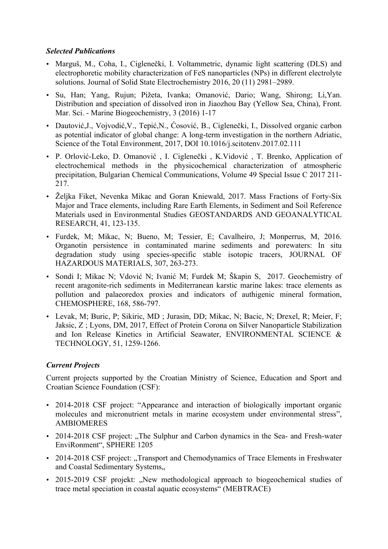### *Selected Publications*

- Marguš, M., Coha, I., Ciglenečki, I. Voltammetric, dynamic light scattering (DLS) and electrophoretic mobility characterization of FeS nanoparticles (NPs) in different electrolyte solutions. Journal of Solid State Electrochemistry 2016, 20 (11) 2981–2989.
- Su, Han; Yang, Rujun; Pižeta, Ivanka; Omanović, Dario; Wang, Shirong; Li,Yan. Distribution and speciation of dissolved iron in Jiaozhou Bay (Yellow Sea, China), Front. Mar. Sci. - Marine Biogeochemistry, 3 (2016) 1-17
- Dautović, J., Vojvodić, V., Tepić, N., Ćosović, B., Ciglenečki, I., Dissolved organic carbon as potential indicator of global change: A long-term investigation in the northern Adriatic, Science of the Total Environment, 2017, DOI 10.1016/j.scitotenv.2017.02.111
- P. Orlović-Leko, D. Omanović , I. Ciglenečki , K.Vidović , T. Brenko, Application of electrochemical methods in the physicochemical characterization of atmospheric precipitation, Bulgarian Chemical Communications, Volume 49 Special Issue C 2017 211- 217.
- Željka Fiket, Nevenka Mikac and Goran Kniewald, 2017. Mass Fractions of Forty-Six Major and Trace elements, including Rare Earth Elements, in Sediment and Soil Reference Materials used in Environmental Studies GEOSTANDARDS AND GEOANALYTICAL RESEARCH, 41, 123-135.
- Furdek, M; Mikac, N; Bueno, M; Tessier, E; Cavalheiro, J; Monperrus, M, 2016. Organotin persistence in contaminated marine sediments and porewaters: In situ degradation study using species-specific stable isotopic tracers, JOURNAL OF HAZARDOUS MATERIALS, 307, 263-273.
- Sondi I; Mikac N; Vdović N; Ivanić M; Furdek M; Škapin S, 2017. Geochemistry of recent aragonite-rich sediments in Mediterranean karstic marine lakes: trace elements as pollution and palaeoredox proxies and indicators of authigenic mineral formation, CHEMOSPHERE, 168, 586-797.
- Levak, M; Buric, P; Sikiric, MD ; Jurasin, DD; Mikac, N; Bacic, N; Drexel, R; Meier, F; Jaksic, Z ; Lyons, DM, 2017, Effect of Protein Corona on Silver Nanoparticle Stabilization and Ion Release Kinetics in Artificial Seawater, ENVIRONMENTAL SCIENCE & TECHNOLOGY, 51, 1259-1266.

# *Current Projects*

Current projects supported by the Croatian Ministry of Science, Education and Sport and Croatian Science Foundation (CSF):

- 2014-2018 CSF project: "Appearance and interaction of biologically important organic molecules and micronutrient metals in marine ecosystem under environmental stress", AMBIOMERES
- 2014-2018 CSF project: "The Sulphur and Carbon dynamics in the Sea- and Fresh-water EnviRonment", SPHERE 1205
- 2014-2018 CSF project: "Transport and Chemodynamics of Trace Elements in Freshwater and Coastal Sedimentary Systems...
- 2015-2019 CSF projekt: "New methodological approach to biogeochemical studies of trace metal speciation in coastal aquatic ecosystems" (MEBTRACE)